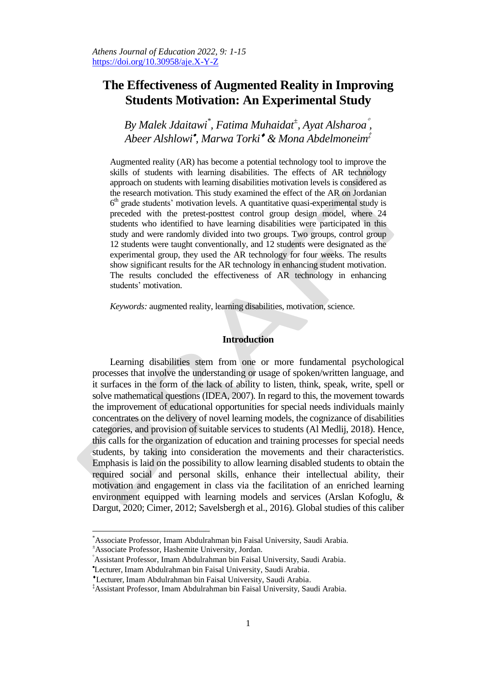# **The Effectiveness of Augmented Reality in Improving Students Motivation: An Experimental Study**

*By Malek Jdaitawi\* , Fatima Muhaidat<sup>±</sup> , Ayat Alsharoa , Abeer Alshlowi , Marwa Torki & Mona Abdelmoneim‡*

Augmented reality (AR) has become a potential technology tool to improve the skills of students with learning disabilities. The effects of AR technology approach on students with learning disabilities motivation levels is considered as the research motivation. This study examined the effect of the AR on Jordanian 6 th grade students' motivation levels. A quantitative quasi-experimental study is preceded with the pretest-posttest control group design model, where 24 students who identified to have learning disabilities were participated in this study and were randomly divided into two groups. Two groups, control group 12 students were taught conventionally, and 12 students were designated as the experimental group, they used the AR technology for four weeks. The results show significant results for the AR technology in enhancing student motivation. The results concluded the effectiveness of AR technology in enhancing students' motivation.

*Keywords:* augmented reality, learning disabilities, motivation, science.

# **Introduction**

Learning disabilities stem from one or more fundamental psychological processes that involve the understanding or usage of spoken/written language, and it surfaces in the form of the lack of ability to listen, think, speak, write, spell or solve mathematical questions (IDEA, 2007). In regard to this, the movement towards the improvement of educational opportunities for special needs individuals mainly concentrates on the delivery of novel learning models, the cognizance of disabilities categories, and provision of suitable services to students (Al Medlij, 2018). Hence, this calls for the organization of education and training processes for special needs students, by taking into consideration the movements and their characteristics. Emphasis is laid on the possibility to allow learning disabled students to obtain the required social and personal skills, enhance their intellectual ability, their motivation and engagement in class via the facilitation of an enriched learning environment equipped with learning models and services (Arslan Kofoglu, & Dargut, 2020; Cimer, 2012; Savelsbergh et al., 2016). Global studies of this caliber

 $\overline{a}$ 

<sup>\*</sup>Associate Professor, Imam Abdulrahman bin Faisal University, Saudi Arabia.

<sup>±</sup>Associate Professor, Hashemite University, Jordan.

Assistant Professor, Imam Abdulrahman bin Faisal University, Saudi Arabia.

Lecturer, Imam Abdulrahman bin Faisal University, Saudi Arabia.

Lecturer, Imam Abdulrahman bin Faisal University, Saudi Arabia.

<sup>‡</sup>Assistant Professor, Imam Abdulrahman bin Faisal University, Saudi Arabia.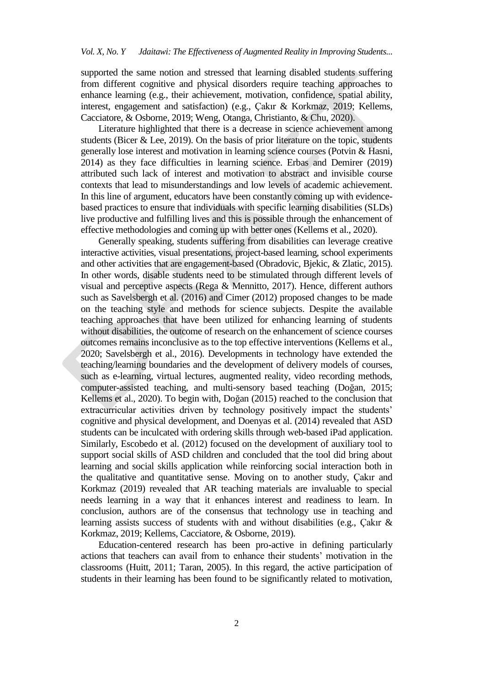supported the same notion and stressed that learning disabled students suffering from different cognitive and physical disorders require teaching approaches to enhance learning (e.g., their achievement, motivation, confidence, spatial ability, interest, engagement and satisfaction) (e.g., Çakır & Korkmaz, 2019; Kellems, Cacciatore, & Osborne, 2019; Weng, Otanga, Christianto, & Chu, 2020).

Literature highlighted that there is a decrease in science achievement among students (Bicer & Lee, 2019). On the basis of prior literature on the topic, students generally lose interest and motivation in learning science courses (Potvin & Hasni, 2014) as they face difficulties in learning science. Erbas and Demirer (2019) attributed such lack of interest and motivation to abstract and invisible course contexts that lead to misunderstandings and low levels of academic achievement. In this line of argument, educators have been constantly coming up with evidencebased practices to ensure that individuals with specific learning disabilities (SLDs) live productive and fulfilling lives and this is possible through the enhancement of effective methodologies and coming up with better ones (Kellems et al., 2020).

Generally speaking, students suffering from disabilities can leverage creative interactive activities, visual presentations, project-based learning, school experiments and other activities that are engagement-based (Obradovic, Bjekic, & Zlatic, 2015). In other words, disable students need to be stimulated through different levels of visual and perceptive aspects (Rega & Mennitto, 2017). Hence, different authors such as Savelsbergh et al. (2016) and Cimer (2012) proposed changes to be made on the teaching style and methods for science subjects. Despite the available teaching approaches that have been utilized for enhancing learning of students without disabilities, the outcome of research on the enhancement of science courses outcomes remains inconclusive as to the top effective interventions (Kellems et al., 2020; Savelsbergh et al., 2016). Developments in technology have extended the teaching/learning boundaries and the development of delivery models of courses, such as e-learning, virtual lectures, augmented reality, video recording methods, computer-assisted teaching, and multi-sensory based teaching (Doğan, 2015; Kellems et al., 2020). To begin with, Doğan (2015) reached to the conclusion that extracurricular activities driven by technology positively impact the students' cognitive and physical development, and Doenyas et al. (2014) revealed that ASD students can be inculcated with ordering skills through web-based iPad application. Similarly, Escobedo et al. (2012) focused on the development of auxiliary tool to support social skills of ASD children and concluded that the tool did bring about learning and social skills application while reinforcing social interaction both in the qualitative and quantitative sense. Moving on to another study, Çakır and Korkmaz (2019) revealed that AR teaching materials are invaluable to special needs learning in a way that it enhances interest and readiness to learn. In conclusion, authors are of the consensus that technology use in teaching and learning assists success of students with and without disabilities (e.g., Çakır & Korkmaz, 2019; Kellems, Cacciatore, & Osborne, 2019).

Education-centered research has been pro-active in defining particularly actions that teachers can avail from to enhance their students' motivation in the classrooms (Huitt, 2011; Taran, 2005). In this regard, the active participation of students in their learning has been found to be significantly related to motivation,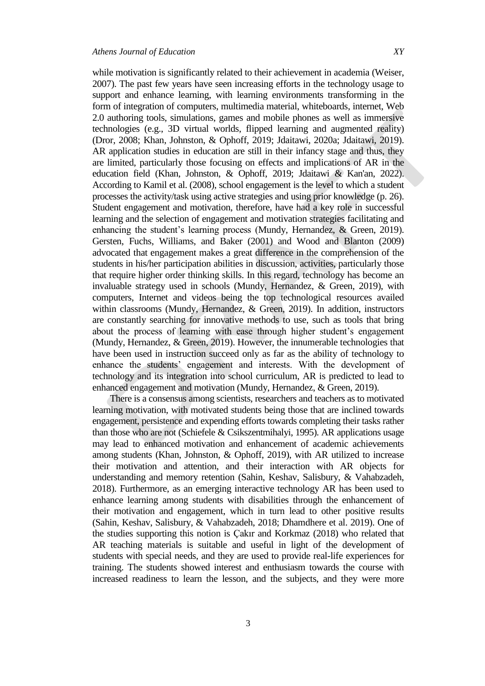while motivation is significantly related to their achievement in academia (Weiser, 2007). The past few years have seen increasing efforts in the technology usage to support and enhance learning, with learning environments transforming in the form of integration of computers, multimedia material, whiteboards, internet, Web 2.0 authoring tools, simulations, games and mobile phones as well as immersive technologies (e.g., 3D virtual worlds, flipped learning and augmented reality) (Dror, 2008; Khan, Johnston, & Ophoff, 2019; Jdaitawi, 2020a; Jdaitawi, 2019). AR application studies in education are still in their infancy stage and thus, they are limited, particularly those focusing on effects and implications of AR in the education field (Khan, Johnston, & Ophoff, 2019; Jdaitawi & Kan'an, 2022). According to Kamil et al. (2008), school engagement is the level to which a student processes the activity/task using active strategies and using prior knowledge (p. 26). Student engagement and motivation, therefore, have had a key role in successful learning and the selection of engagement and motivation strategies facilitating and enhancing the student's learning process (Mundy, Hernandez, & Green, 2019). Gersten, Fuchs, Williams, and Baker (2001) and Wood and Blanton (2009) advocated that engagement makes a great difference in the comprehension of the students in his/her participation abilities in discussion, activities, particularly those that require higher order thinking skills. In this regard, technology has become an invaluable strategy used in schools (Mundy, Hernandez, & Green, 2019), with computers, Internet and videos being the top technological resources availed within classrooms (Mundy, Hernandez, & Green, 2019). In addition, instructors are constantly searching for innovative methods to use, such as tools that bring about the process of learning with ease through higher student's engagement (Mundy, Hernandez, & Green, 2019). However, the innumerable technologies that have been used in instruction succeed only as far as the ability of technology to enhance the students' engagement and interests. With the development of technology and its integration into school curriculum, AR is predicted to lead to enhanced engagement and motivation (Mundy, Hernandez, & Green, 2019).

There is a consensus among scientists, researchers and teachers as to motivated learning motivation, with motivated students being those that are inclined towards engagement, persistence and expending efforts towards completing their tasks rather than those who are not (Schiefele & Csikszentmihalyi, 1995). AR applications usage may lead to enhanced motivation and enhancement of academic achievements among students (Khan, Johnston, & Ophoff, 2019), with AR utilized to increase their motivation and attention, and their interaction with AR objects for understanding and memory retention (Sahin, Keshav, Salisbury, & Vahabzadeh, 2018). Furthermore, as an emerging interactive technology AR has been used to enhance learning among students with disabilities through the enhancement of their motivation and engagement, which in turn lead to other positive results (Sahin, Keshav, Salisbury, & Vahabzadeh, 2018; Dhamdhere et al. 2019). One of the studies supporting this notion is Çakır and Korkmaz (2018) who related that AR teaching materials is suitable and useful in light of the development of students with special needs, and they are used to provide real-life experiences for training. The students showed interest and enthusiasm towards the course with increased readiness to learn the lesson, and the subjects, and they were more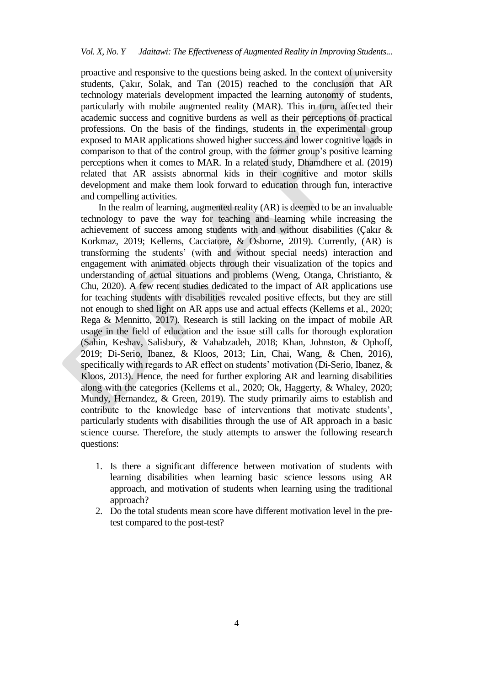proactive and responsive to the questions being asked. In the context of university students, Çakır, Solak, and Tan (2015) reached to the conclusion that AR technology materials development impacted the learning autonomy of students, particularly with mobile augmented reality (MAR). This in turn, affected their academic success and cognitive burdens as well as their perceptions of practical professions. On the basis of the findings, students in the experimental group exposed to MAR applications showed higher success and lower cognitive loads in comparison to that of the control group, with the former group's positive learning perceptions when it comes to MAR. In a related study, Dhamdhere et al. (2019) related that AR assists abnormal kids in their cognitive and motor skills development and make them look forward to education through fun, interactive and compelling activities.

In the realm of learning, augmented reality (AR) is deemed to be an invaluable technology to pave the way for teaching and learning while increasing the achievement of success among students with and without disabilities (Çakır & Korkmaz, 2019; Kellems, Cacciatore, & Osborne, 2019). Currently, (AR) is transforming the students' (with and without special needs) interaction and engagement with animated objects through their visualization of the topics and understanding of actual situations and problems (Weng, Otanga, Christianto, & Chu, 2020). A few recent studies dedicated to the impact of AR applications use for teaching students with disabilities revealed positive effects, but they are still not enough to shed light on AR apps use and actual effects (Kellems et al., 2020; Rega & Mennitto, 2017). Research is still lacking on the impact of mobile AR usage in the field of education and the issue still calls for thorough exploration (Sahin, Keshav, Salisbury, & Vahabzadeh, 2018; Khan, Johnston, & Ophoff, 2019; Di-Serio, Ibanez, & Kloos, 2013; Lin, Chai, Wang, & Chen, 2016), specifically with regards to AR effect on students' motivation (Di-Serio, Ibanez, & Kloos, 2013). Hence, the need for further exploring AR and learning disabilities along with the categories (Kellems et al., 2020; Ok, Haggerty, & Whaley, 2020; Mundy, Hernandez, & Green, 2019). The study primarily aims to establish and contribute to the knowledge base of interventions that motivate students', particularly students with disabilities through the use of AR approach in a basic science course. Therefore, the study attempts to answer the following research questions:

- 1. Is there a significant difference between motivation of students with learning disabilities when learning basic science lessons using AR approach, and motivation of students when learning using the traditional approach?
- 2. Do the total students mean score have different motivation level in the pretest compared to the post-test?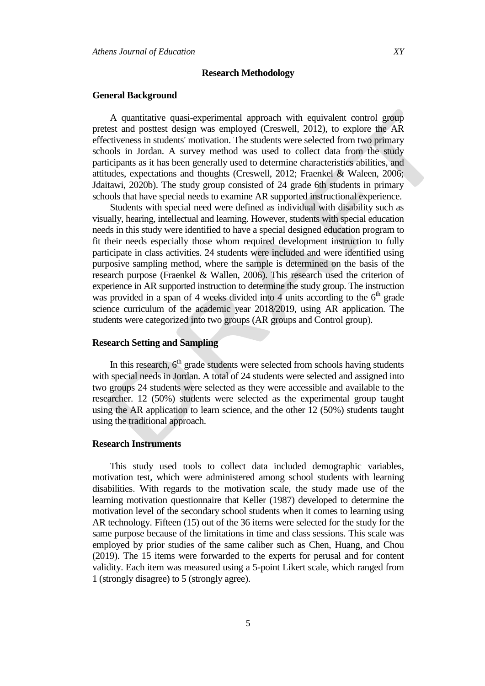#### **Research Methodology**

#### **General Background**

A quantitative quasi-experimental approach with equivalent control group pretest and posttest design was employed (Creswell, 2012), to explore the AR effectiveness in students' motivation. The students were selected from two primary schools in Jordan. A survey method was used to collect data from the study participants as it has been generally used to determine characteristics abilities, and attitudes, expectations and thoughts (Creswell, 2012; Fraenkel & Waleen, 2006; Jdaitawi, 2020b). The study group consisted of 24 grade 6th students in primary schools that have special needs to examine AR supported instructional experience.

Students with special need were defined as individual with disability such as visually, hearing, intellectual and learning. However, students with special education needs in this study were identified to have a special designed education program to fit their needs especially those whom required development instruction to fully participate in class activities. 24 students were included and were identified using purposive sampling method, where the sample is determined on the basis of the research purpose (Fraenkel & Wallen, 2006). This research used the criterion of experience in AR supported instruction to determine the study group. The instruction was provided in a span of 4 weeks divided into 4 units according to the  $6<sup>th</sup>$  grade science curriculum of the academic year 2018/2019, using AR application. The students were categorized into two groups (AR groups and Control group).

### **Research Setting and Sampling**

In this research,  $6<sup>th</sup>$  grade students were selected from schools having students with special needs in Jordan. A total of 24 students were selected and assigned into two groups 24 students were selected as they were accessible and available to the researcher. 12 (50%) students were selected as the experimental group taught using the AR application to learn science, and the other 12 (50%) students taught using the traditional approach.

#### **Research Instruments**

This study used tools to collect data included demographic variables, motivation test, which were administered among school students with learning disabilities. With regards to the motivation scale, the study made use of the learning motivation questionnaire that Keller (1987) developed to determine the motivation level of the secondary school students when it comes to learning using AR technology. Fifteen (15) out of the 36 items were selected for the study for the same purpose because of the limitations in time and class sessions. This scale was employed by prior studies of the same caliber such as Chen, Huang, and Chou (2019). The 15 items were forwarded to the experts for perusal and for content validity. Each item was measured using a 5-point Likert scale, which ranged from 1 (strongly disagree) to 5 (strongly agree).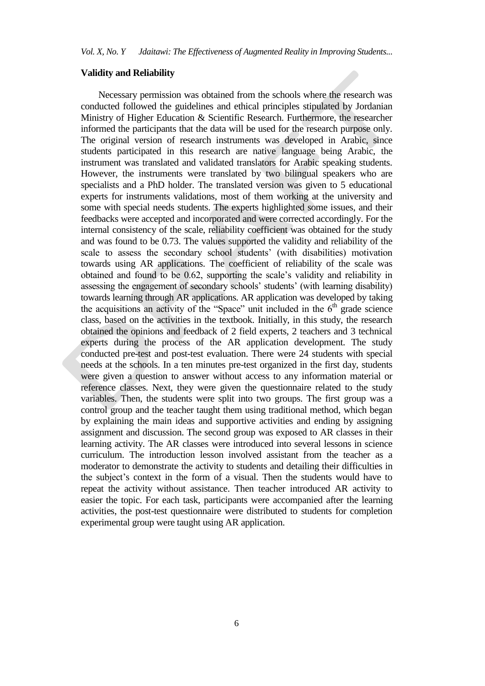#### **Validity and Reliability**

Necessary permission was obtained from the schools where the research was conducted followed the guidelines and ethical principles stipulated by Jordanian Ministry of Higher Education & Scientific Research. Furthermore, the researcher informed the participants that the data will be used for the research purpose only. The original version of research instruments was developed in Arabic, since students participated in this research are native language being Arabic, the instrument was translated and validated translators for Arabic speaking students. However, the instruments were translated by two bilingual speakers who are specialists and a PhD holder. The translated version was given to 5 educational experts for instruments validations, most of them working at the university and some with special needs students. The experts highlighted some issues, and their feedbacks were accepted and incorporated and were corrected accordingly. For the internal consistency of the scale, reliability coefficient was obtained for the study and was found to be 0.73. The values supported the validity and reliability of the scale to assess the secondary school students' (with disabilities) motivation towards using AR applications. The coefficient of reliability of the scale was obtained and found to be 0.62, supporting the scale's validity and reliability in assessing the engagement of secondary schools' students' (with learning disability) towards learning through AR applications. AR application was developed by taking the acquisitions an activity of the "Space" unit included in the  $6<sup>th</sup>$  grade science class, based on the activities in the textbook. Initially, in this study, the research obtained the opinions and feedback of 2 field experts, 2 teachers and 3 technical experts during the process of the AR application development. The study conducted pre-test and post-test evaluation. There were 24 students with special needs at the schools. In a ten minutes pre-test organized in the first day, students were given a question to answer without access to any information material or reference classes. Next, they were given the questionnaire related to the study variables. Then, the students were split into two groups. The first group was a control group and the teacher taught them using traditional method, which began by explaining the main ideas and supportive activities and ending by assigning assignment and discussion. The second group was exposed to AR classes in their learning activity. The AR classes were introduced into several lessons in science curriculum. The introduction lesson involved assistant from the teacher as a moderator to demonstrate the activity to students and detailing their difficulties in the subject's context in the form of a visual. Then the students would have to repeat the activity without assistance. Then teacher introduced AR activity to easier the topic. For each task, participants were accompanied after the learning activities, the post-test questionnaire were distributed to students for completion experimental group were taught using AR application.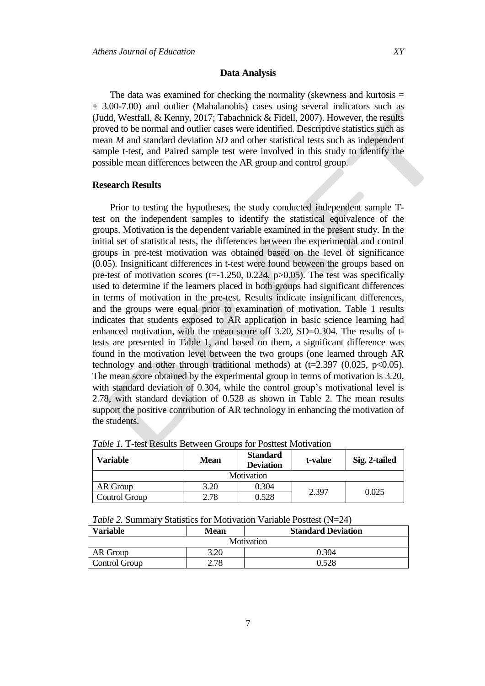The data was examined for checking the normality (skewness and kurtosis  $=$  $\pm$  3.00-7.00) and outlier (Mahalanobis) cases using several indicators such as (Judd, Westfall, & Kenny, 2017; Tabachnick & Fidell, 2007). However, the results proved to be normal and outlier cases were identified. Descriptive statistics such as mean *M* and standard deviation *SD* and other statistical tests such as independent sample t-test, and Paired sample test were involved in this study to identify the possible mean differences between the AR group and control group.

#### **Research Results**

Prior to testing the hypotheses, the study conducted independent sample Ttest on the independent samples to identify the statistical equivalence of the groups. Motivation is the dependent variable examined in the present study. In the initial set of statistical tests, the differences between the experimental and control groups in pre-test motivation was obtained based on the level of significance (0.05). Insignificant differences in t-test were found between the groups based on pre-test of motivation scores (t= $-1.250$ , 0.224, p $>0.05$ ). The test was specifically used to determine if the learners placed in both groups had significant differences in terms of motivation in the pre-test. Results indicate insignificant differences, and the groups were equal prior to examination of motivation. Table 1 results indicates that students exposed to AR application in basic science learning had enhanced motivation, with the mean score off 3.20, SD=0.304. The results of ttests are presented in Table 1, and based on them, a significant difference was found in the motivation level between the two groups (one learned through AR technology and other through traditional methods) at  $(t=2.397 (0.025, p<0.05))$ . The mean score obtained by the experimental group in terms of motivation is 3.20, with standard deviation of 0.304, while the control group's motivational level is 2.78, with standard deviation of 0.528 as shown in Table 2. The mean results support the positive contribution of AR technology in enhancing the motivation of the students.

| Variable      | <b>Mean</b> | <b>Standard</b><br><b>Deviation</b> | t-value | Sig. 2-tailed |
|---------------|-------------|-------------------------------------|---------|---------------|
| Motivation    |             |                                     |         |               |
| AR Group      | 3.20        | 0.304                               | 2.397   | 0.025         |
| Control Group | 2.78        | 0.528                               |         |               |

*Table 1.* T-test Results Between Groups for Posttest Motivation

| <i>Table 2.</i> Summary Statistics for Motivation Variable Posttest (N=24) |  |
|----------------------------------------------------------------------------|--|
|----------------------------------------------------------------------------|--|

| Variable      | <b>Mean</b> | <b>Standard Deviation</b> |  |  |
|---------------|-------------|---------------------------|--|--|
| Motivation    |             |                           |  |  |
| AR Group      | 3.20        | 0.304                     |  |  |
| Control Group | 2.78        | 0.528                     |  |  |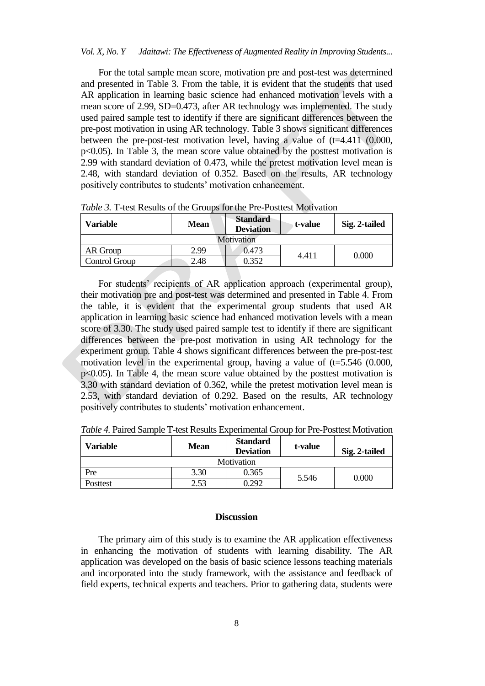#### *Vol. X, No. Y Jdaitawi: The Effectiveness of Augmented Reality in Improving Students...*

For the total sample mean score, motivation pre and post-test was determined and presented in Table 3. From the table, it is evident that the students that used AR application in learning basic science had enhanced motivation levels with a mean score of 2.99, SD=0.473, after AR technology was implemented. The study used paired sample test to identify if there are significant differences between the pre-post motivation in using AR technology. Table 3 shows significant differences between the pre-post-test motivation level, having a value of  $(t=4.411, (0.000,$ p<0.05). In Table 3, the mean score value obtained by the posttest motivation is 2.99 with standard deviation of 0.473, while the pretest motivation level mean is 2.48, with standard deviation of 0.352. Based on the results, AR technology positively contributes to students' motivation enhancement.

| Variable      | Mean | <b>Standard</b><br><b>Deviation</b> | t-value | Sig. 2-tailed |
|---------------|------|-------------------------------------|---------|---------------|
| Motivation    |      |                                     |         |               |
| AR Group      | 2.99 | 0.473                               | 4.411   | 0.000         |
| Control Group | 2.48 | 0.352                               |         |               |

*Table 3.* T-test Results of the Groups for the Pre-Posttest Motivation

For students' recipients of AR application approach (experimental group), their motivation pre and post-test was determined and presented in Table 4. From the table, it is evident that the experimental group students that used AR application in learning basic science had enhanced motivation levels with a mean score of 3.30. The study used paired sample test to identify if there are significant differences between the pre-post motivation in using AR technology for the experiment group. Table 4 shows significant differences between the pre-post-test motivation level in the experimental group, having a value of  $(t=5.546 \ (0.000,$ p<0.05). In Table 4, the mean score value obtained by the posttest motivation is 3.30 with standard deviation of 0.362, while the pretest motivation level mean is 2.53, with standard deviation of 0.292. Based on the results, AR technology positively contributes to students' motivation enhancement.

| Variable   | Mean | <b>Standard</b><br><b>Deviation</b> | t-value | Sig. 2-tailed |  |
|------------|------|-------------------------------------|---------|---------------|--|
| Motivation |      |                                     |         |               |  |
| Pre        | 3.30 | 0.365                               | 5.546   | $0.000\,$     |  |
| Posttest   | 2.53 | 0.292                               |         |               |  |

*Table 4.* Paired Sample T-test Results Experimental Group for Pre-Posttest Motivation

## **Discussion**

The primary aim of this study is to examine the AR application effectiveness in enhancing the motivation of students with learning disability. The AR application was developed on the basis of basic science lessons teaching materials and incorporated into the study framework, with the assistance and feedback of field experts, technical experts and teachers. Prior to gathering data, students were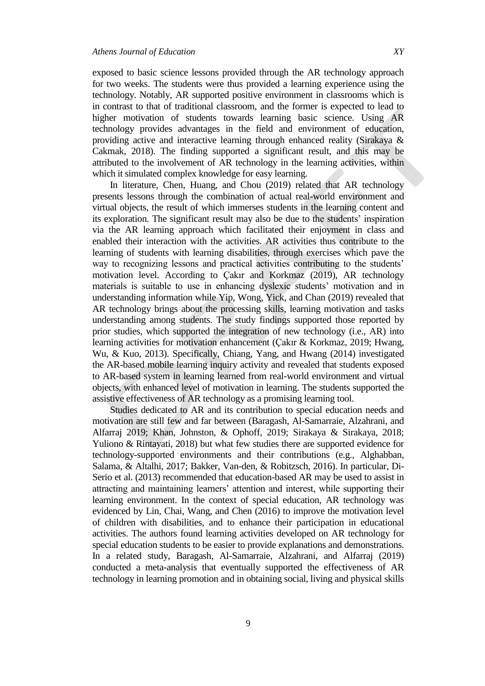exposed to basic science lessons provided through the AR technology approach for two weeks. The students were thus provided a learning experience using the technology. Notably, AR supported positive environment in classrooms which is in contrast to that of traditional classroom, and the former is expected to lead to higher motivation of students towards learning basic science. Using AR technology provides advantages in the field and environment of education, providing active and interactive learning through enhanced reality (Sirakaya & Cakmak, 2018). The finding supported a significant result, and this may be attributed to the involvement of AR technology in the learning activities, within which it simulated complex knowledge for easy learning.

In literature, Chen, Huang, and Chou (2019) related that AR technology presents lessons through the combination of actual real-world environment and virtual objects, the result of which immerses students in the learning content and its exploration. The significant result may also be due to the students' inspiration via the AR learning approach which facilitated their enjoyment in class and enabled their interaction with the activities. AR activities thus contribute to the learning of students with learning disabilities, through exercises which pave the way to recognizing lessons and practical activities contributing to the students' motivation level. According to Çakır and Korkmaz (2019), AR technology materials is suitable to use in enhancing dyslexic students' motivation and in understanding information while Yip, Wong, Yick, and Chan (2019) revealed that AR technology brings about the processing skills, learning motivation and tasks understanding among students. The study findings supported those reported by prior studies, which supported the integration of new technology (i.e., AR) into learning activities for motivation enhancement (Çakır & Korkmaz, 2019; Hwang, Wu, & Kuo, 2013). Specifically, Chiang, Yang, and Hwang (2014) investigated the AR-based mobile learning inquiry activity and revealed that students exposed to AR-based system in learning learned from real-world environment and virtual objects, with enhanced level of motivation in learning. The students supported the assistive effectiveness of AR technology as a promising learning tool.

Studies dedicated to AR and its contribution to special education needs and motivation are still few and far between (Baragash, Al-Samarraie, Alzahrani, and Alfarraj 2019; Khan, Johnston, & Ophoff, 2019; Sirakaya & Sirakaya, 2018; Yuliono & Rintayati, 2018) but what few studies there are supported evidence for technology-supported environments and their contributions (e.g., Alghabban, Salama, & Altalhi, 2017; Bakker, Van-den, & Robitzsch, 2016). In particular, Di-Serio et al. (2013) recommended that education-based AR may be used to assist in attracting and maintaining learners' attention and interest, while supporting their learning environment. In the context of special education, AR technology was evidenced by Lin, Chai, Wang, and Chen (2016) to improve the motivation level of children with disabilities, and to enhance their participation in educational activities. The authors found learning activities developed on AR technology for special education students to be easier to provide explanations and demonstrations. In a related study, Baragash, Al-Samarraie, Alzahrani, and Alfarraj (2019) conducted a meta-analysis that eventually supported the effectiveness of AR technology in learning promotion and in obtaining social, living and physical skills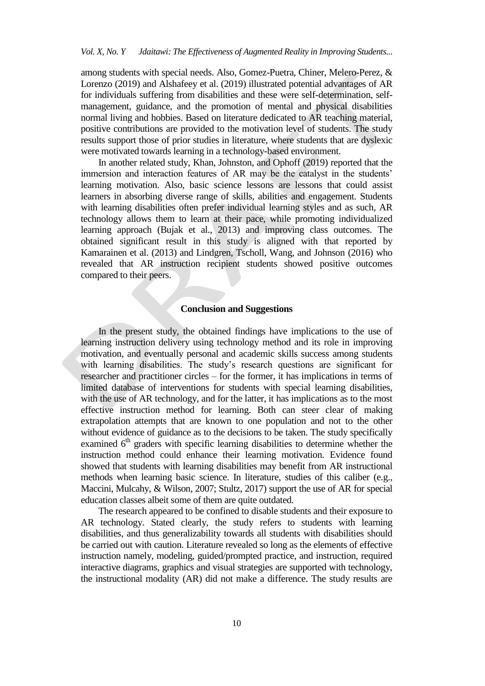among students with special needs. Also, Gomez-Puetra, Chiner, Melero-Perez, & Lorenzo (2019) and Alshafeey et al. (2019) illustrated potential advantages of AR for individuals suffering from disabilities and these were self-determination, selfmanagement, guidance, and the promotion of mental and physical disabilities normal living and hobbies. Based on literature dedicated to AR teaching material, positive contributions are provided to the motivation level of students. The study results support those of prior studies in literature, where students that are dyslexic were motivated towards learning in a technology-based environment.

In another related study, Khan, Johnston, and Ophoff (2019) reported that the immersion and interaction features of AR may be the catalyst in the students' learning motivation. Also, basic science lessons are lessons that could assist learners in absorbing diverse range of skills, abilities and engagement. Students with learning disabilities often prefer individual learning styles and as such, AR technology allows them to learn at their pace, while promoting individualized learning approach (Bujak et al., 2013) and improving class outcomes. The obtained significant result in this study is aligned with that reported by Kamarainen et al. (2013) and Lindgren, Tscholl, Wang, and Johnson (2016) who revealed that AR instruction recipient students showed positive outcomes compared to their peers.

### **Conclusion and Suggestions**

In the present study, the obtained findings have implications to the use of learning instruction delivery using technology method and its role in improving motivation, and eventually personal and academic skills success among students with learning disabilities. The study's research questions are significant for researcher and practitioner circles – for the former, it has implications in terms of limited database of interventions for students with special learning disabilities, with the use of AR technology, and for the latter, it has implications as to the most effective instruction method for learning. Both can steer clear of making extrapolation attempts that are known to one population and not to the other without evidence of guidance as to the decisions to be taken. The study specifically examined  $6<sup>th</sup>$  graders with specific learning disabilities to determine whether the instruction method could enhance their learning motivation. Evidence found showed that students with learning disabilities may benefit from AR instructional methods when learning basic science. In literature, studies of this caliber (e.g., Maccini, Mulcahy, & Wilson, 2007; Stultz, 2017) support the use of AR for special education classes albeit some of them are quite outdated.

The research appeared to be confined to disable students and their exposure to AR technology. Stated clearly, the study refers to students with learning disabilities, and thus generalizability towards all students with disabilities should be carried out with caution. Literature revealed so long as the elements of effective instruction namely, modeling, guided/prompted practice, and instruction, required interactive diagrams, graphics and visual strategies are supported with technology, the instructional modality (AR) did not make a difference. The study results are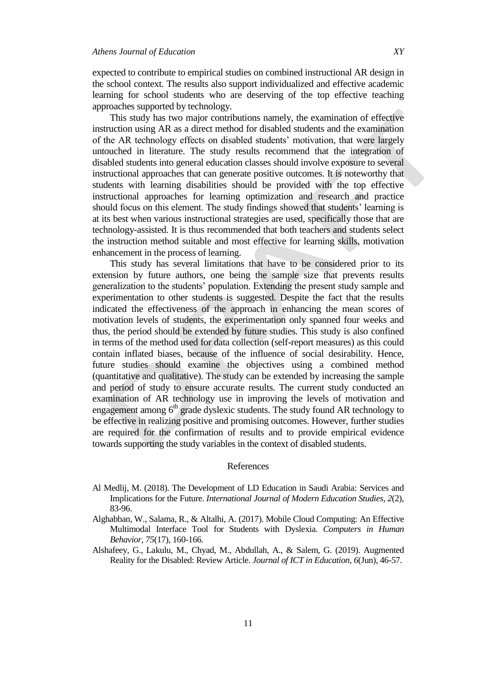expected to contribute to empirical studies on combined instructional AR design in the school context. The results also support individualized and effective academic learning for school students who are deserving of the top effective teaching approaches supported by technology.

This study has two major contributions namely, the examination of effective instruction using AR as a direct method for disabled students and the examination of the AR technology effects on disabled students' motivation, that were largely untouched in literature. The study results recommend that the integration of disabled students into general education classes should involve exposure to several instructional approaches that can generate positive outcomes. It is noteworthy that students with learning disabilities should be provided with the top effective instructional approaches for learning optimization and research and practice should focus on this element. The study findings showed that students' learning is at its best when various instructional strategies are used, specifically those that are technology-assisted. It is thus recommended that both teachers and students select the instruction method suitable and most effective for learning skills, motivation enhancement in the process of learning.

This study has several limitations that have to be considered prior to its extension by future authors, one being the sample size that prevents results generalization to the students' population. Extending the present study sample and experimentation to other students is suggested. Despite the fact that the results indicated the effectiveness of the approach in enhancing the mean scores of motivation levels of students, the experimentation only spanned four weeks and thus, the period should be extended by future studies. This study is also confined in terms of the method used for data collection (self-report measures) as this could contain inflated biases, because of the influence of social desirability. Hence, future studies should examine the objectives using a combined method (quantitative and qualitative). The study can be extended by increasing the sample and period of study to ensure accurate results. The current study conducted an examination of AR technology use in improving the levels of motivation and engagement among  $6<sup>th</sup>$  grade dyslexic students. The study found AR technology to be effective in realizing positive and promising outcomes. However, further studies are required for the confirmation of results and to provide empirical evidence towards supporting the study variables in the context of disabled students.

#### References

- Al Medlij, M. (2018). The Development of LD Education in Saudi Arabia: Services and Implications for the Future. *International Journal of Modern Education Studies, 2*(2), 83-96.
- Alghabban, W., Salama, R., & Altalhi, A. (2017). Mobile Cloud Computing: An Effective Multimodal Interface Tool for Students with Dyslexia. *Computers in Human Behavior*, *75*(17), 160-166.
- Alshafeey, G., Lakulu, M., Chyad, M., Abdullah, A., & Salem, G. (2019). Augmented Reality for the Disabled: Review Article. *Journal of ICT in Education*, *6*(Jun), 46-57.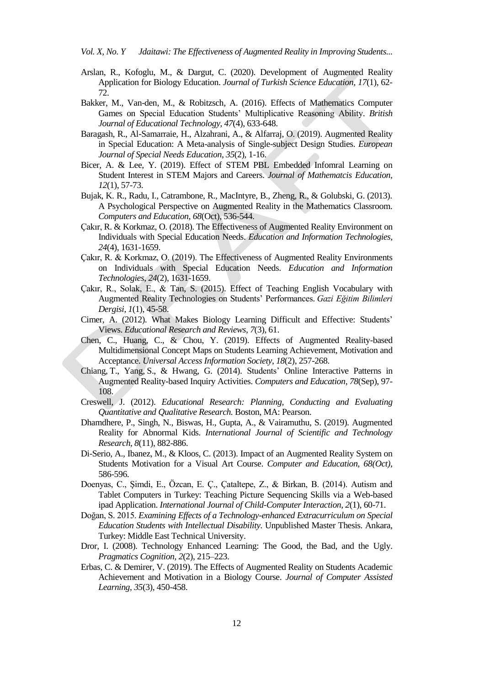- Arslan, R., Kofoglu, M., & Dargut, C. (2020). Development of Augmented Reality Application for Biology Education. *Journal of Turkish Science Education, 17*(1), 62- 72.
- Bakker, M., Van-den, M., & Robitzsch, A. (2016). Effects of Mathematics Computer Games on Special Education Students' Multiplicative Reasoning Ability. *British Journal of Educational Technology, 47*(4), 633-648.
- Baragash, R., Al-Samarraie, H., Alzahrani, A., & Alfarraj, O. (2019). Augmented Reality in Special Education: A Meta-analysis of Single-subject Design Studies. *European Journal of Special Needs Education*, *35*(2), 1-16.
- Bicer, A. & Lee, Y. (2019). Effect of STEM PBL Embedded Infomral Learning on Student Interest in STEM Majors and Careers. *Journal of Mathematcis Education, 12*(1), 57-73.
- Bujak, K. R., Radu, I., Catrambone, R., MacIntyre, B., Zheng, R., & Golubski, G. (2013). A Psychological Perspective on Augmented Reality in the Mathematics Classroom. *Computers and Education*, *68*(Oct), 536-544.
- Çakır, R. & Korkmaz, O. (2018). The Effectiveness of Augmented Reality Environment on Individuals with Special Education Needs. *Education and Information Technologies, 24*(4), 1631-1659.
- Çakır, R. & Korkmaz, O. (2019). The Effectiveness of Augmented Reality Environments on Individuals with Special Education Needs. *Education and Information Technologies*, *24*(2), 1631-1659.
- Çakır, R., Solak, E., & Tan, S. (2015). Effect of Teaching English Vocabulary with Augmented Reality Technologies on Students' Performances. *Gazi Eğitim Bilimleri Dergisi*, *1*(1), 45-58.
- Cimer, A. (2012). What Makes Biology Learning Difficult and Effective: Students' Views. *Educational Research and Reviews*, *7*(3), 61.
- Chen, C., Huang, C., & Chou, Y. (2019). Effects of Augmented Reality-based Multidimensional Concept Maps on Students Learning Achievement, Motivation and Acceptance. *Universal Access Information Society*, *18*(2), 257-268.
- Chiang, T., Yang, S., & Hwang, G. (2014). Students' Online Interactive Patterns in Augmented Reality-based Inquiry Activities. *Computers and Education*, *78*(Sep), 97- 108.
- Creswell, J. (2012). *Educational Research: Planning, Conducting and Evaluating Quantitative and Qualitative Research.* Boston, MA: Pearson.
- Dhamdhere, P., Singh, N., Biswas, H., Gupta, A., & Vairamuthu, S. (2019). Augmented Reality for Abnormal Kids. *International Journal of Scientific and Technology Research*, *8*(11), 882-886.
- Di-Serio, A., Ibanez, M., & Kloos, C. (2013). Impact of an Augmented Reality System on Students Motivation for a Visual Art Course. *Computer and Education, 68(Oct)*, 586-596.
- Doenyas, C., Şimdi, E., Özcan, E. Ç., Çataltepe, Z., & Birkan, B. (2014). Autism and Tablet Computers in Turkey: Teaching Picture Sequencing Skills via a Web-based ipad Application. *International Journal of Child-Computer Interaction, 2*(1), 60-71.
- Doğan, S. 2015. *Examining Effects of a Technology-enhanced Extracurriculum on Special Education Students with Intellectual Disability.* Unpublished Master Thesis. Ankara, Turkey: Middle East Technical University.
- Dror, I. (2008). Technology Enhanced Learning: The Good, the Bad, and the Ugly. *Pragmatics Cognition*, *2*(2), 215–223.
- Erbas, C. & Demirer, V. (2019). The Effects of Augmented Reality on Students Academic Achievement and Motivation in a Biology Course. *Journal of Computer Assisted Learning*, *35*(3), 450-458.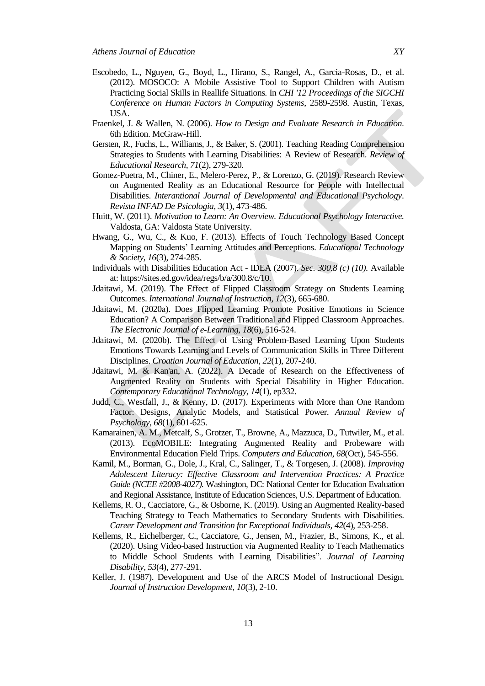- Escobedo, L., Nguyen, G., Boyd, L., Hirano, S., Rangel, A., Garcia-Rosas, D., et al. (2012). MOSOCO: A Mobile Assistive Tool to Support Children with Autism Practicing Social Skills in Reallife Situations*.* In *CHI '12 Proceedings of the SIGCHI Conference on Human Factors in Computing Systems*, 2589-2598. Austin, Texas, USA.
- Fraenkel, J. & Wallen, N. (2006). *How to Design and Evaluate Research in Education*. 6th Edition. McGraw-Hill.
- Gersten, R., Fuchs, L., Williams, J., & Baker, S. (2001). Teaching Reading Comprehension Strategies to Students with Learning Disabilities: A Review of Research. *Review of Educational Research, 71*(2), 279-320.
- Gomez-Puetra, M., Chiner, E., Melero-Perez, P., & Lorenzo, G. (2019). Research Review on Augmented Reality as an Educational Resource for People with Intellectual Disabilities. *Interantional Journal of Developmental and Educational Psychology*. *Revista INFAD De Psicologia, 3*(1), 473-486.
- Huitt, W. (2011). *Motivation to Learn: An Overview. Educational Psychology Interactive.* Valdosta, GA: Valdosta State University.
- Hwang, G., Wu, C., & Kuo, F. (2013). Effects of Touch Technology Based Concept Mapping on Students' Learning Attitudes and Perceptions. *Educational Technology & Society, 16*(3), 274-285.
- Individuals with Disabilities Education Act IDEA (2007). *Sec. 300.8 (c) (10).* Available at: https://sites.ed.gov/idea/regs/b/a/300.8/c/10.
- Jdaitawi, M. (2019). The Effect of Flipped Classroom Strategy on Students Learning Outcomes. *International Journal of Instruction, 12*(3), 665-680.
- Jdaitawi, M. (2020a). Does Flipped Learning Promote Positive Emotions in Science Education? A Comparison Between Traditional and Flipped Classroom Approaches. *The Electronic Journal of e-Learning, 18*(6), 516-524.
- Jdaitawi, M. (2020b). The Effect of Using Problem-Based Learning Upon Students Emotions Towards Learning and Levels of Communication Skills in Three Different Disciplines. *Croatian Journal of Education, 22*(1), 207-240.
- Jdaitawi, M. & Kan'an, A. (2022). A Decade of Research on the Effectiveness of Augmented Reality on Students with Special Disability in Higher Education. *Contemporary Educational Technology*, *14*(1), ep332.
- Judd, C., Westfall, J., & Kenny, D. (2017). Experiments with More than One Random Factor: Designs, Analytic Models, and Statistical Power. *Annual Review of Psychology*, *68*(1), 601-625.
- Kamarainen, A. M., Metcalf, S., Grotzer, T., Browne, A., Mazzuca, D., Tutwiler, M., et al. (2013). EcoMOBILE: Integrating Augmented Reality and Probeware with Environmental Education Field Trips. *Computers and Education*, *68*(Oct), 545-556.
- Kamil, M., Borman, G., Dole, J., Kral, C., Salinger, T., & Torgesen, J. (2008). *Improving Adolescent Literacy: Effective Classroom and Intervention Practices: A Practice Guide (NCEE #2008-4027).* Washington, DC: National Center for Education Evaluation and Regional Assistance, Institute of Education Sciences, U.S. Department of Education.
- Kellems, R. O., Cacciatore, G., & Osborne, K. (2019). Using an Augmented Reality-based Teaching Strategy to Teach Mathematics to Secondary Students with Disabilities. *Career Development and Transition for Exceptional Individuals, 42*(4), 253-258.
- Kellems, R., Eichelberger, C., Cacciatore, G., Jensen, M., Frazier, B., Simons, K., et al. (2020). Using Video-based Instruction via Augmented Reality to Teach Mathematics to Middle School Students with Learning Disabilities". *Journal of Learning Disability*, *53*(4), 277-291.
- Keller, J. (1987). Development and Use of the ARCS Model of Instructional Design. *Journal of Instruction Development*, *10*(3), 2-10.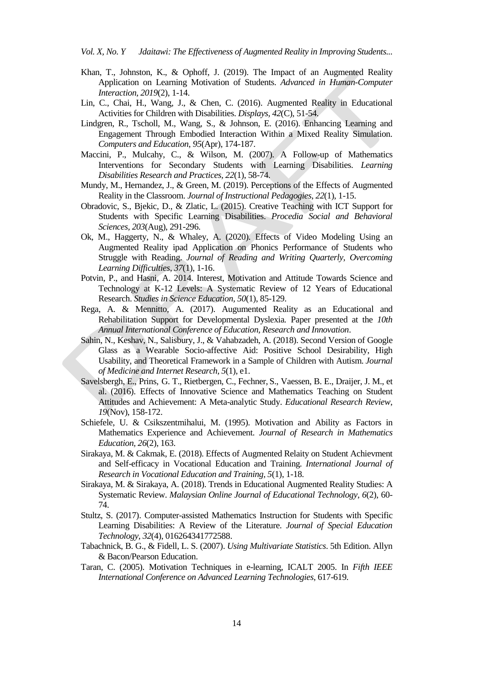- Khan, T., Johnston, K., & Ophoff, J. (2019). The Impact of an Augmented Reality Application on Learning Motivation of Students. *Advanced in Human-Computer Interaction, 2019*(2), 1-14.
- Lin, C., Chai, H., Wang, J., & Chen, C. (2016). Augmented Reality in Educational Activities for Children with Disabilities. *Displays, 42*(C), 51-54.
- Lindgren, R., Tscholl, M., Wang, S., & Johnson, E. (2016). Enhancing Learning and Engagement Through Embodied Interaction Within a Mixed Reality Simulation. *Computers and Education*, *95*(Apr), 174-187.
- Maccini, P., Mulcahy, C., & Wilson, M. (2007). A Follow-up of Mathematics Interventions for Secondary Students with Learning Disabilities. *Learning Disabilities Research and Practices, 22*(1), 58-74.
- Mundy, M., Hernandez, J., & Green, M. (2019). Perceptions of the Effects of Augmented Reality in the Classroom. *Journal of Instructional Pedagogies*, *22*(1), 1-15.
- Obradovic, S., Bjekic, D., & Zlatic, L. (2015). Creative Teaching with ICT Support for Students with Specific Learning Disabilities. *Procedia Social and Behavioral Sciences, 203*(Aug), 291-296.
- Ok, M., Haggerty, N., & Whaley, A. (2020). Effects of Video Modeling Using an Augmented Reality ipad Application on Phonics Performance of Students who Struggle with Reading. *Journal of Reading and Writing Quarterly, Overcoming Learning Difficulties*, *37*(1), 1-16.
- Potvin, P., and Hasni, A. 2014. Interest, Motivation and Attitude Towards Science and Technology at K-12 Levels: A Systematic Review of 12 Years of Educational Research. *Studies in Science Education, 50*(1), 85-129.
- Rega, A. & Mennitto, A. (2017). Augumented Reality as an Educational and Rehabilitation Support for Developmental Dyslexia*.* Paper presented at the *10th Annual International Conference of Education, Research and Innovation*.
- Sahin, N., Keshav, N., Salisbury, J., & Vahabzadeh, A. (2018). Second Version of Google Glass as a Wearable Socio-affective Aid: Positive School Desirability, High Usability, and Theoretical Framework in a Sample of Children with Autism. *Journal of Medicine and Internet Research, 5*(1), e1.
- Savelsbergh, E., Prins, G. T., Rietbergen, C., Fechner, S., Vaessen, B. E., Draijer, J. M., et al. (2016). Effects of Innovative Science and Mathematics Teaching on Student Attitudes and Achievement: A Meta-analytic Study. *Educational Research Review*, *19*(Nov), 158-172.
- Schiefele, U. & Csikszentmihalui, M. (1995). Motivation and Ability as Factors in Mathematics Experience and Achievement. *Journal of Research in Mathematics Education, 26*(2), 163.
- Sirakaya, M. & Cakmak, E. (2018). Effects of Augmented Relaity on Student Achievment and Self-efficacy in Vocational Education and Training. *International Journal of Research in Vocational Education and Training, 5*(1), 1-18.
- Sirakaya, M. & Sirakaya, A. (2018). Trends in Educational Augmented Reality Studies: A Systematic Review. *Malaysian Online Journal of Educational Technology*, *6*(2), 60- 74.
- Stultz, S. (2017). Computer-assisted Mathematics Instruction for Students with Specific Learning Disabilities: A Review of the Literature. *Journal of Special Education Technology, 32*(4), 016264341772588.
- Tabachnick, B. G., & Fidell, L. S. (2007). *Using Multivariate Statistics*. 5th Edition. Allyn & Bacon/Pearson Education.
- Taran, C. (2005). Motivation Techniques in e-learning, ICALT 2005. In *Fifth IEEE International Conference on Advanced Learning Technologies*, 617-619.